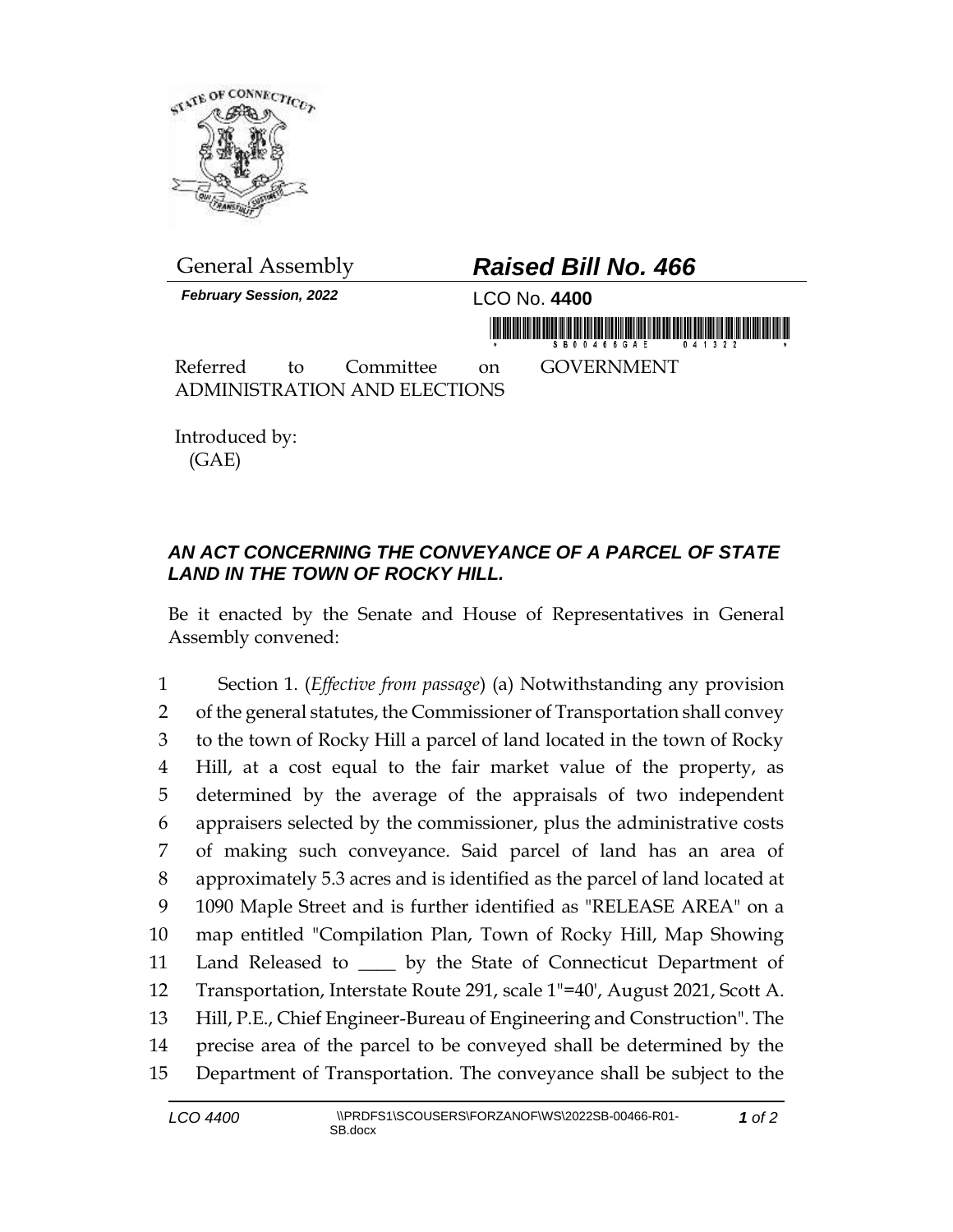

General Assembly *Raised Bill No. 466 February Session, 2022* LCO No. **4400** <u>må fransk höfu fransk mannafndrög i mannan</u> Referred to Committee on GOVERNMENT ADMINISTRATION AND ELECTIONS

Introduced by: (GAE)

## *AN ACT CONCERNING THE CONVEYANCE OF A PARCEL OF STATE LAND IN THE TOWN OF ROCKY HILL.*

Be it enacted by the Senate and House of Representatives in General Assembly convened:

 Section 1. (*Effective from passage*) (a) Notwithstanding any provision 2 of the general statutes, the Commissioner of Transportation shall convey to the town of Rocky Hill a parcel of land located in the town of Rocky Hill, at a cost equal to the fair market value of the property, as determined by the average of the appraisals of two independent appraisers selected by the commissioner, plus the administrative costs of making such conveyance. Said parcel of land has an area of approximately 5.3 acres and is identified as the parcel of land located at 1090 Maple Street and is further identified as "RELEASE AREA" on a map entitled "Compilation Plan, Town of Rocky Hill, Map Showing 11 Land Released to \_\_\_\_ by the State of Connecticut Department of Transportation, Interstate Route 291, scale 1"=40', August 2021, Scott A. Hill, P.E., Chief Engineer-Bureau of Engineering and Construction". The precise area of the parcel to be conveyed shall be determined by the Department of Transportation. The conveyance shall be subject to the